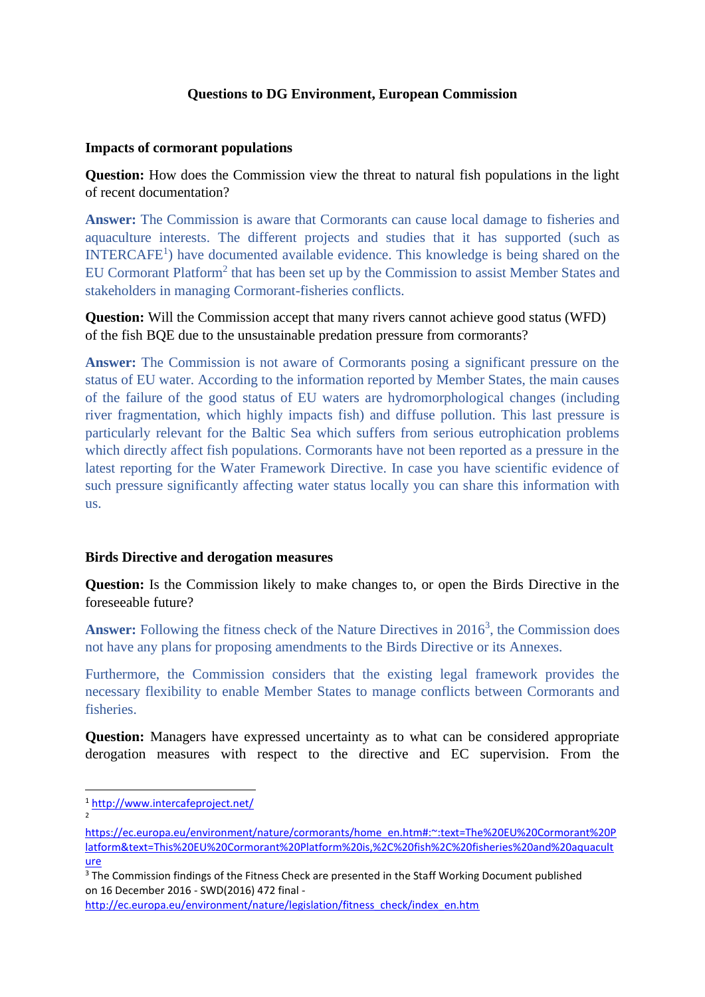## **Questions to DG Environment, European Commission**

## **Impacts of cormorant populations**

**Question:** How does the Commission view the threat to natural fish populations in the light of recent documentation?

**Answer:** The Commission is aware that Cormorants can cause local damage to fisheries and aquaculture interests. The different projects and studies that it has supported (such as INTERCAFE<sup>1</sup>) have documented available evidence. This knowledge is being shared on the EU Cormorant Platform<sup>2</sup> that has been set up by the Commission to assist Member States and stakeholders in managing Cormorant-fisheries conflicts.

**Question:** Will the Commission accept that many rivers cannot achieve good status (WFD) of the fish BQE due to the unsustainable predation pressure from cormorants?

**Answer:** The Commission is not aware of Cormorants posing a significant pressure on the status of EU water. According to the information reported by Member States, the main causes of the failure of the good status of EU waters are hydromorphological changes (including river fragmentation, which highly impacts fish) and diffuse pollution. This last pressure is particularly relevant for the Baltic Sea which suffers from serious eutrophication problems which directly affect fish populations. Cormorants have not been reported as a pressure in the latest reporting for the Water Framework Directive. In case you have scientific evidence of such pressure significantly affecting water status locally you can share this information with us.

## **Birds Directive and derogation measures**

**Question:** Is the Commission likely to make changes to, or open the Birds Directive in the foreseeable future?

Answer: Following the fitness check of the Nature Directives in 2016<sup>3</sup>, the Commission does not have any plans for proposing amendments to the Birds Directive or its Annexes.

Furthermore, the Commission considers that the existing legal framework provides the necessary flexibility to enable Member States to manage conflicts between Cormorants and **fisheries** 

**Question:** Managers have expressed uncertainty as to what can be considered appropriate derogation measures with respect to the directive and EC supervision. From the

2

[http://ec.europa.eu/environment/nature/legislation/fitness\\_check/index\\_en.htm](http://ec.europa.eu/environment/nature/legislation/fitness_check/index_en.htm)

<sup>1</sup> <http://www.intercafeproject.net/>

[https://ec.europa.eu/environment/nature/cormorants/home\\_en.htm#:~:text=The%20EU%20Cormorant%20P](https://ec.europa.eu/environment/nature/cormorants/home_en.htm#:~:text=The%20EU%20Cormorant%20Platform&text=This%20EU%20Cormorant%20Platform%20is,%2C%20fish%2C%20fisheries%20and%20aquaculture) [latform&text=This%20EU%20Cormorant%20Platform%20is,%2C%20fish%2C%20fisheries%20and%20aquacult](https://ec.europa.eu/environment/nature/cormorants/home_en.htm#:~:text=The%20EU%20Cormorant%20Platform&text=This%20EU%20Cormorant%20Platform%20is,%2C%20fish%2C%20fisheries%20and%20aquaculture) [ure](https://ec.europa.eu/environment/nature/cormorants/home_en.htm#:~:text=The%20EU%20Cormorant%20Platform&text=This%20EU%20Cormorant%20Platform%20is,%2C%20fish%2C%20fisheries%20and%20aquaculture)

 $3$ The Commission findings of the Fitness Check are presented in the Staff Working Document published on 16 December 2016 - SWD(2016) 472 final -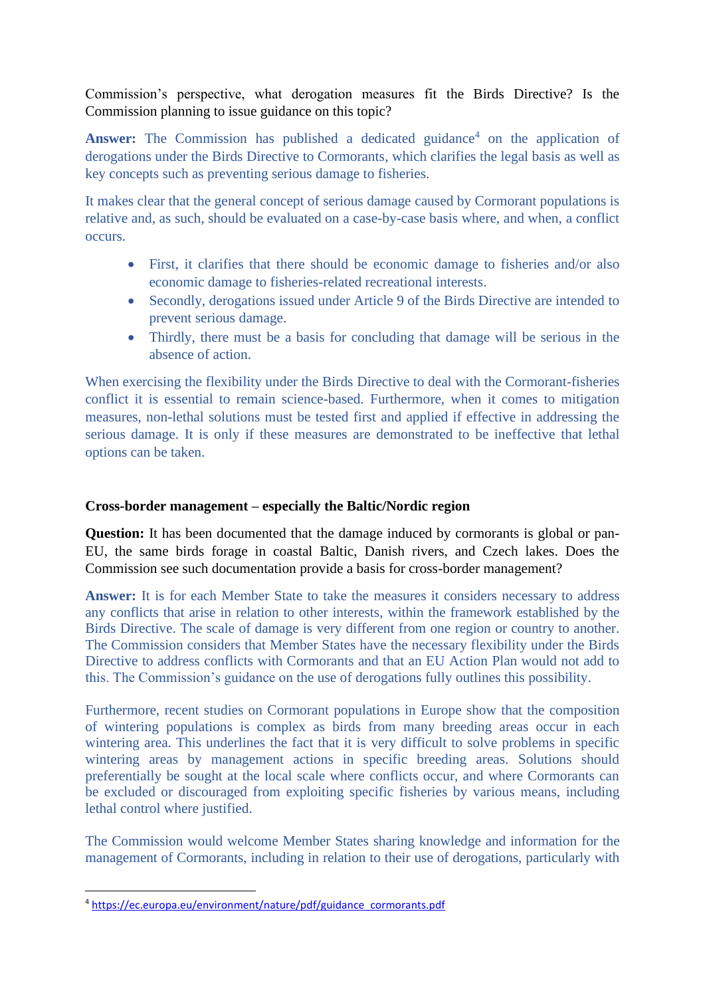Commission's perspective, what derogation measures fit the Birds Directive? Is the Commission planning to issue guidance on this topic?

Answer: The Commission has published a dedicated guidance<sup>4</sup> on the application of derogations under the Birds Directive to Cormorants, which clarifies the legal basis as well as key concepts such as preventing serious damage to fisheries.

It makes clear that the general concept of serious damage caused by Cormorant populations is relative and, as such, should be evaluated on a case-by-case basis where, and when, a conflict occurs.

- First, it clarifies that there should be economic damage to fisheries and/or also economic damage to fisheries-related recreational interests.
- Secondly, derogations issued under Article 9 of the Birds Directive are intended to prevent serious damage.
- Thirdly, there must be a basis for concluding that damage will be serious in the absence of action.

When exercising the flexibility under the Birds Directive to deal with the Cormorant-fisheries conflict it is essential to remain science-based. Furthermore, when it comes to mitigation measures, non-lethal solutions must be tested first and applied if effective in addressing the serious damage. It is only if these measures are demonstrated to be ineffective that lethal options can be taken.

## **Cross-border management – especially the Baltic/Nordic region**

**Question:** It has been documented that the damage induced by cormorants is global or pan-EU, the same birds forage in coastal Baltic, Danish rivers, and Czech lakes. Does the Commission see such documentation provide a basis for cross-border management?

**Answer:** It is for each Member State to take the measures it considers necessary to address any conflicts that arise in relation to other interests, within the framework established by the Birds Directive. The scale of damage is very different from one region or country to another. The Commission considers that Member States have the necessary flexibility under the Birds Directive to address conflicts with Cormorants and that an EU Action Plan would not add to this. The Commission's guidance on the use of derogations fully outlines this possibility.

Furthermore, recent studies on Cormorant populations in Europe show that the composition of wintering populations is complex as birds from many breeding areas occur in each wintering area. This underlines the fact that it is very difficult to solve problems in specific wintering areas by management actions in specific breeding areas. Solutions should preferentially be sought at the local scale where conflicts occur, and where Cormorants can be excluded or discouraged from exploiting specific fisheries by various means, including lethal control where justified.

The Commission would welcome Member States sharing knowledge and information for the management of Cormorants, including in relation to their use of derogations, particularly with

<sup>4</sup> [https://ec.europa.eu/environment/nature/pdf/guidance\\_cormorants.pdf](https://ec.europa.eu/environment/nature/pdf/guidance_cormorants.pdf)